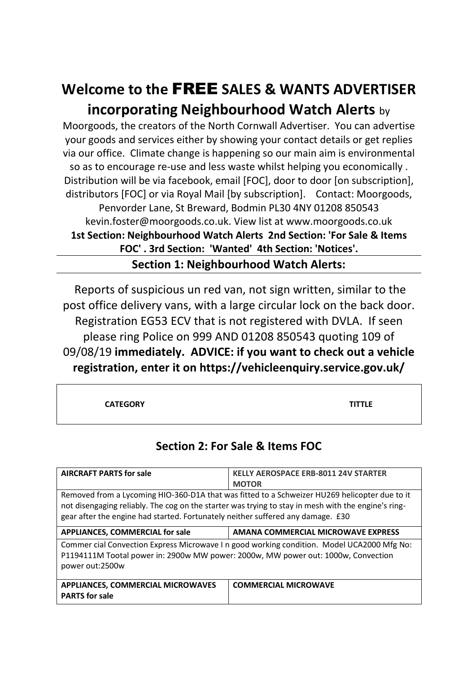## **Welcome to the** FREE **SALES & WANTS ADVERTISER incorporating Neighbourhood Watch Alerts** by

Moorgoods, the creators of the North Cornwall Advertiser. You can advertise your goods and services either by showing your contact details or get replies via our office. Climate change is happening so our main aim is environmental so as to encourage re-use and less waste whilst helping you economically . Distribution will be via facebook, email [FOC], door to door [on subscription], distributors [FOC] or via Royal Mail [by subscription]. Contact: Moorgoods, Penvorder Lane, St Breward, Bodmin PL30 4NY 01208 850543 kevin.foster@moorgoods.co.uk. View list at www.moorgoods.co.uk **1st Section: Neighbourhood Watch Alerts 2nd Section: 'For Sale & Items FOC' . 3rd Section: 'Wanted' 4th Section: 'Notices'.**

**Section 1: Neighbourhood Watch Alerts:**

Reports of suspicious un red van, not sign written, similar to the post office delivery vans, with a large circular lock on the back door. Registration EG53 ECV that is not registered with DVLA. If seen please ring Police on 999 AND 01208 850543 quoting 109 of 09/08/19 **immediately. ADVICE: if you want to check out a vehicle registration, enter it on https://vehicleenquiry.service.gov.uk/** 

**CATEGORY TITTLE**

## **Section 2: For Sale & Items FOC**

| <b>AIRCRAFT PARTS for sale</b>                                                                                                                                                                                                                                                          | <b>KELLY AEROSPACE ERB-8011 24V STARTER</b><br><b>MOTOR</b> |
|-----------------------------------------------------------------------------------------------------------------------------------------------------------------------------------------------------------------------------------------------------------------------------------------|-------------------------------------------------------------|
| Removed from a Lycoming HIO-360-D1A that was fitted to a Schweizer HU269 helicopter due to it<br>not disengaging reliably. The cog on the starter was trying to stay in mesh with the engine's ring-<br>gear after the engine had started. Fortunately neither suffered any damage. £30 |                                                             |
| <b>APPLIANCES, COMMERCIAL for sale</b>                                                                                                                                                                                                                                                  | AMANA COMMERCIAL MICROWAVE EXPRESS                          |
| Commer cial Convection Express Microwave I n good working condition. Model UCA2000 Mfg No:<br>P1194111M Tootal power in: 2900w MW power: 2000w, MW power out: 1000w, Convection<br>power out:2500w                                                                                      |                                                             |
| <b>APPLIANCES, COMMERCIAL MICROWAVES</b><br><b>PARTS</b> for sale                                                                                                                                                                                                                       | <b>COMMERCIAL MICROWAVE</b>                                 |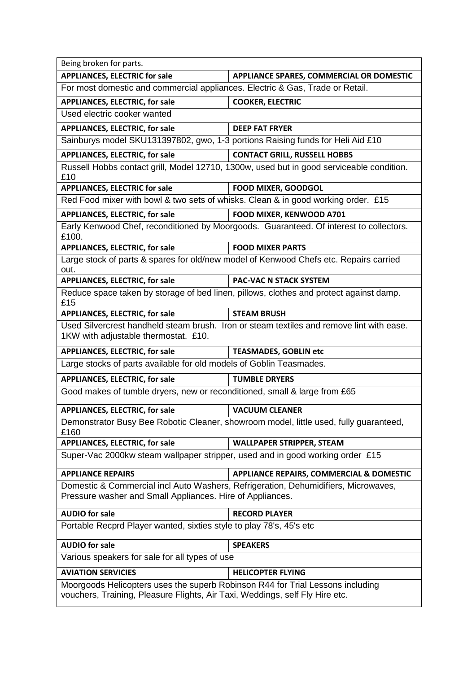| Being broken for parts.                                                                                                                                        |                                                                                        |
|----------------------------------------------------------------------------------------------------------------------------------------------------------------|----------------------------------------------------------------------------------------|
| <b>APPLIANCES, ELECTRIC for sale</b>                                                                                                                           | APPLIANCE SPARES, COMMERCIAL OR DOMESTIC                                               |
| For most domestic and commercial appliances. Electric & Gas, Trade or Retail.                                                                                  |                                                                                        |
| <b>APPLIANCES, ELECTRIC, for sale</b>                                                                                                                          | <b>COOKER, ELECTRIC</b>                                                                |
| Used electric cooker wanted                                                                                                                                    |                                                                                        |
| <b>APPLIANCES, ELECTRIC, for sale</b>                                                                                                                          | <b>DEEP FAT FRYER</b>                                                                  |
| Sainburys model SKU131397802, gwo, 1-3 portions Raising funds for Heli Aid £10                                                                                 |                                                                                        |
| <b>APPLIANCES, ELECTRIC, for sale</b>                                                                                                                          | <b>CONTACT GRILL, RUSSELL HOBBS</b>                                                    |
| Russell Hobbs contact grill, Model 12710, 1300w, used but in good serviceable condition.<br>£10                                                                |                                                                                        |
| <b>APPLIANCES, ELECTRIC for sale</b>                                                                                                                           | <b>FOOD MIXER, GOODGOL</b>                                                             |
| Red Food mixer with bowl & two sets of whisks. Clean & in good working order. £15                                                                              |                                                                                        |
| <b>APPLIANCES, ELECTRIC, for sale</b>                                                                                                                          | FOOD MIXER, KENWOOD A701                                                               |
| £100.                                                                                                                                                          | Early Kenwood Chef, reconditioned by Moorgoods. Guaranteed. Of interest to collectors. |
| <b>APPLIANCES, ELECTRIC, for sale</b>                                                                                                                          | <b>FOOD MIXER PARTS</b>                                                                |
| Large stock of parts & spares for old/new model of Kenwood Chefs etc. Repairs carried<br>out.                                                                  |                                                                                        |
| <b>APPLIANCES, ELECTRIC, for sale</b>                                                                                                                          | <b>PAC-VAC N STACK SYSTEM</b>                                                          |
| Reduce space taken by storage of bed linen, pillows, clothes and protect against damp.<br>£15                                                                  |                                                                                        |
| <b>APPLIANCES, ELECTRIC, for sale</b>                                                                                                                          | <b>STEAM BRUSH</b>                                                                     |
| Used Silvercrest handheld steam brush. Iron or steam textiles and remove lint with ease.<br>1KW with adjustable thermostat. £10.                               |                                                                                        |
| <b>APPLIANCES, ELECTRIC, for sale</b>                                                                                                                          | <b>TEASMADES, GOBLIN etc</b>                                                           |
| Large stocks of parts available for old models of Goblin Teasmades.                                                                                            |                                                                                        |
| <b>APPLIANCES, ELECTRIC, for sale</b>                                                                                                                          | <b>TUMBLE DRYERS</b>                                                                   |
| Good makes of tumble dryers, new or reconditioned, small & large from £65                                                                                      |                                                                                        |
| <b>APPLIANCES, ELECTRIC, for sale</b>                                                                                                                          | <b>VACUUM CLEANER</b>                                                                  |
| Demonstrator Busy Bee Robotic Cleaner, showroom model, little used, fully guaranteed,<br>£160                                                                  |                                                                                        |
| <b>APPLIANCES, ELECTRIC, for sale</b>                                                                                                                          | <b>WALLPAPER STRIPPER, STEAM</b>                                                       |
| Super-Vac 2000kw steam wallpaper stripper, used and in good working order £15                                                                                  |                                                                                        |
| <b>APPLIANCE REPAIRS</b>                                                                                                                                       | APPLIANCE REPAIRS, COMMERCIAL & DOMESTIC                                               |
| Domestic & Commercial incl Auto Washers, Refrigeration, Dehumidifiers, Microwaves,<br>Pressure washer and Small Appliances. Hire of Appliances.                |                                                                                        |
| <b>AUDIO for sale</b>                                                                                                                                          | <b>RECORD PLAYER</b>                                                                   |
| Portable Recprd Player wanted, sixties style to play 78's, 45's etc                                                                                            |                                                                                        |
| <b>AUDIO for sale</b>                                                                                                                                          | <b>SPEAKERS</b>                                                                        |
| Various speakers for sale for all types of use                                                                                                                 |                                                                                        |
| <b>AVIATION SERVICIES</b>                                                                                                                                      | <b>HELICOPTER FLYING</b>                                                               |
| Moorgoods Helicopters uses the superb Robinson R44 for Trial Lessons including<br>vouchers, Training, Pleasure Flights, Air Taxi, Weddings, self Fly Hire etc. |                                                                                        |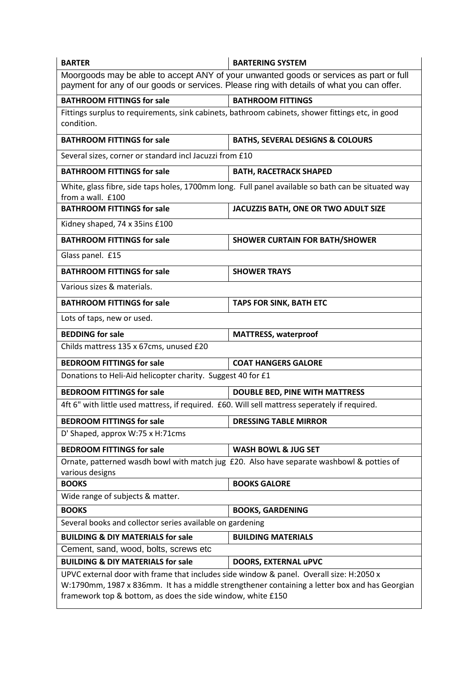| <b>BARTER</b>                                                                                                                                                                                                                                           | <b>BARTERING SYSTEM</b>                     |  |
|---------------------------------------------------------------------------------------------------------------------------------------------------------------------------------------------------------------------------------------------------------|---------------------------------------------|--|
| Moorgoods may be able to accept ANY of your unwanted goods or services as part or full<br>payment for any of our goods or services. Please ring with details of what you can offer.                                                                     |                                             |  |
| <b>BATHROOM FITTINGS for sale</b>                                                                                                                                                                                                                       | <b>BATHROOM FITTINGS</b>                    |  |
| Fittings surplus to requirements, sink cabinets, bathroom cabinets, shower fittings etc, in good<br>condition.                                                                                                                                          |                                             |  |
| <b>BATHROOM FITTINGS for sale</b>                                                                                                                                                                                                                       | <b>BATHS, SEVERAL DESIGNS &amp; COLOURS</b> |  |
| Several sizes, corner or standard incl Jacuzzi from £10                                                                                                                                                                                                 |                                             |  |
| <b>BATHROOM FITTINGS for sale</b>                                                                                                                                                                                                                       | <b>BATH, RACETRACK SHAPED</b>               |  |
| White, glass fibre, side taps holes, 1700mm long. Full panel available so bath can be situated way<br>from a wall. £100                                                                                                                                 |                                             |  |
| <b>BATHROOM FITTINGS for sale</b>                                                                                                                                                                                                                       | JACUZZIS BATH, ONE OR TWO ADULT SIZE        |  |
| Kidney shaped, 74 x 35ins £100                                                                                                                                                                                                                          |                                             |  |
| <b>BATHROOM FITTINGS for sale</b>                                                                                                                                                                                                                       | <b>SHOWER CURTAIN FOR BATH/SHOWER</b>       |  |
| Glass panel. £15                                                                                                                                                                                                                                        |                                             |  |
| <b>BATHROOM FITTINGS for sale</b>                                                                                                                                                                                                                       | <b>SHOWER TRAYS</b>                         |  |
| Various sizes & materials.                                                                                                                                                                                                                              |                                             |  |
| <b>BATHROOM FITTINGS for sale</b>                                                                                                                                                                                                                       | <b>TAPS FOR SINK, BATH ETC</b>              |  |
| Lots of taps, new or used.                                                                                                                                                                                                                              |                                             |  |
| <b>BEDDING for sale</b>                                                                                                                                                                                                                                 | <b>MATTRESS, waterproof</b>                 |  |
| Childs mattress 135 x 67cms, unused £20                                                                                                                                                                                                                 |                                             |  |
| <b>BEDROOM FITTINGS for sale</b>                                                                                                                                                                                                                        | <b>COAT HANGERS GALORE</b>                  |  |
| Donations to Heli-Aid helicopter charity. Suggest 40 for £1                                                                                                                                                                                             |                                             |  |
| <b>BEDROOM FITTINGS for sale</b>                                                                                                                                                                                                                        | <b>DOUBLE BED, PINE WITH MATTRESS</b>       |  |
| 4ft 6" with little used mattress, if required. £60. Will sell mattress seperately if required.                                                                                                                                                          |                                             |  |
| <b>BEDROOM FITTINGS for sale</b>                                                                                                                                                                                                                        | <b>DRESSING TABLE MIRROR</b>                |  |
| D' Shaped, approx W:75 x H:71cms                                                                                                                                                                                                                        |                                             |  |
| <b>BEDROOM FITTINGS for sale</b>                                                                                                                                                                                                                        | <b>WASH BOWL &amp; JUG SET</b>              |  |
| Ornate, patterned wasdh bowl with match jug £20. Also have separate washbowl & potties of<br>various designs                                                                                                                                            |                                             |  |
| <b>BOOKS</b>                                                                                                                                                                                                                                            | <b>BOOKS GALORE</b>                         |  |
| Wide range of subjects & matter.                                                                                                                                                                                                                        |                                             |  |
| <b>BOOKS</b>                                                                                                                                                                                                                                            | <b>BOOKS, GARDENING</b>                     |  |
| Several books and collector series available on gardening                                                                                                                                                                                               |                                             |  |
| <b>BUILDING &amp; DIY MATERIALS for sale</b>                                                                                                                                                                                                            | <b>BUILDING MATERIALS</b>                   |  |
| Cement, sand, wood, bolts, screws etc                                                                                                                                                                                                                   |                                             |  |
| <b>BUILDING &amp; DIY MATERIALS for sale</b>                                                                                                                                                                                                            | DOORS, EXTERNAL uPVC                        |  |
| UPVC external door with frame that includes side window & panel. Overall size: H:2050 x<br>W:1790mm, 1987 x 836mm. It has a middle strengthener containing a letter box and has Georgian<br>framework top & bottom, as does the side window, white £150 |                                             |  |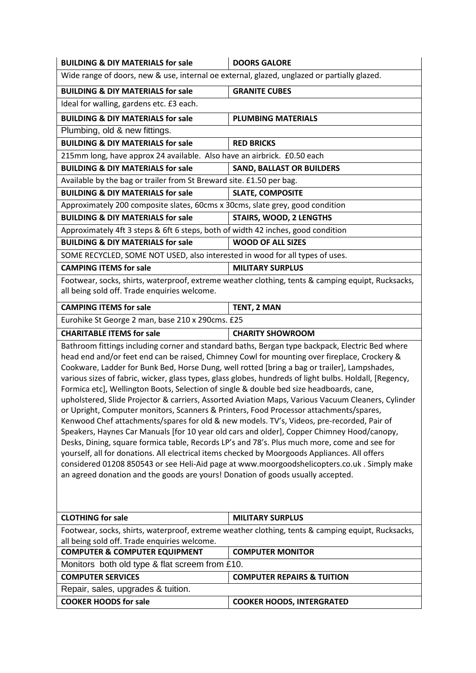| <b>BUILDING &amp; DIY MATERIALS for sale</b>                                                                                                                                                                                                                                                                                                                                                                                                                                                                                                                                                                                                                                                                                                                                                                                                                                                                                                                                                                                                                                                                                                                                                                                                                                        | <b>DOORS GALORE</b>                   |
|-------------------------------------------------------------------------------------------------------------------------------------------------------------------------------------------------------------------------------------------------------------------------------------------------------------------------------------------------------------------------------------------------------------------------------------------------------------------------------------------------------------------------------------------------------------------------------------------------------------------------------------------------------------------------------------------------------------------------------------------------------------------------------------------------------------------------------------------------------------------------------------------------------------------------------------------------------------------------------------------------------------------------------------------------------------------------------------------------------------------------------------------------------------------------------------------------------------------------------------------------------------------------------------|---------------------------------------|
| Wide range of doors, new & use, internal oe external, glazed, unglazed or partially glazed.                                                                                                                                                                                                                                                                                                                                                                                                                                                                                                                                                                                                                                                                                                                                                                                                                                                                                                                                                                                                                                                                                                                                                                                         |                                       |
| <b>BUILDING &amp; DIY MATERIALS for sale</b>                                                                                                                                                                                                                                                                                                                                                                                                                                                                                                                                                                                                                                                                                                                                                                                                                                                                                                                                                                                                                                                                                                                                                                                                                                        | <b>GRANITE CUBES</b>                  |
| Ideal for walling, gardens etc. £3 each.                                                                                                                                                                                                                                                                                                                                                                                                                                                                                                                                                                                                                                                                                                                                                                                                                                                                                                                                                                                                                                                                                                                                                                                                                                            |                                       |
| <b>BUILDING &amp; DIY MATERIALS for sale</b>                                                                                                                                                                                                                                                                                                                                                                                                                                                                                                                                                                                                                                                                                                                                                                                                                                                                                                                                                                                                                                                                                                                                                                                                                                        | <b>PLUMBING MATERIALS</b>             |
| Plumbing, old & new fittings.                                                                                                                                                                                                                                                                                                                                                                                                                                                                                                                                                                                                                                                                                                                                                                                                                                                                                                                                                                                                                                                                                                                                                                                                                                                       |                                       |
| <b>BUILDING &amp; DIY MATERIALS for sale</b>                                                                                                                                                                                                                                                                                                                                                                                                                                                                                                                                                                                                                                                                                                                                                                                                                                                                                                                                                                                                                                                                                                                                                                                                                                        | <b>RED BRICKS</b>                     |
| 215mm long, have approx 24 available. Also have an airbrick. £0.50 each                                                                                                                                                                                                                                                                                                                                                                                                                                                                                                                                                                                                                                                                                                                                                                                                                                                                                                                                                                                                                                                                                                                                                                                                             |                                       |
| <b>BUILDING &amp; DIY MATERIALS for sale</b>                                                                                                                                                                                                                                                                                                                                                                                                                                                                                                                                                                                                                                                                                                                                                                                                                                                                                                                                                                                                                                                                                                                                                                                                                                        | <b>SAND, BALLAST OR BUILDERS</b>      |
| Available by the bag or trailer from St Breward site. £1.50 per bag.                                                                                                                                                                                                                                                                                                                                                                                                                                                                                                                                                                                                                                                                                                                                                                                                                                                                                                                                                                                                                                                                                                                                                                                                                |                                       |
| <b>BUILDING &amp; DIY MATERIALS for sale</b>                                                                                                                                                                                                                                                                                                                                                                                                                                                                                                                                                                                                                                                                                                                                                                                                                                                                                                                                                                                                                                                                                                                                                                                                                                        | <b>SLATE, COMPOSITE</b>               |
| Approximately 200 composite slates, 60cms x 30cms, slate grey, good condition                                                                                                                                                                                                                                                                                                                                                                                                                                                                                                                                                                                                                                                                                                                                                                                                                                                                                                                                                                                                                                                                                                                                                                                                       |                                       |
| <b>BUILDING &amp; DIY MATERIALS for sale</b>                                                                                                                                                                                                                                                                                                                                                                                                                                                                                                                                                                                                                                                                                                                                                                                                                                                                                                                                                                                                                                                                                                                                                                                                                                        | <b>STAIRS, WOOD, 2 LENGTHS</b>        |
| Approximately 4ft 3 steps & 6ft 6 steps, both of width 42 inches, good condition                                                                                                                                                                                                                                                                                                                                                                                                                                                                                                                                                                                                                                                                                                                                                                                                                                                                                                                                                                                                                                                                                                                                                                                                    |                                       |
| <b>BUILDING &amp; DIY MATERIALS for sale</b>                                                                                                                                                                                                                                                                                                                                                                                                                                                                                                                                                                                                                                                                                                                                                                                                                                                                                                                                                                                                                                                                                                                                                                                                                                        | <b>WOOD OF ALL SIZES</b>              |
| SOME RECYCLED, SOME NOT USED, also interested in wood for all types of uses.                                                                                                                                                                                                                                                                                                                                                                                                                                                                                                                                                                                                                                                                                                                                                                                                                                                                                                                                                                                                                                                                                                                                                                                                        |                                       |
| <b>CAMPING ITEMS for sale</b>                                                                                                                                                                                                                                                                                                                                                                                                                                                                                                                                                                                                                                                                                                                                                                                                                                                                                                                                                                                                                                                                                                                                                                                                                                                       | <b>MILITARY SURPLUS</b>               |
| Footwear, socks, shirts, waterproof, extreme weather clothing, tents & camping equipt, Rucksacks,<br>all being sold off. Trade enquiries welcome.                                                                                                                                                                                                                                                                                                                                                                                                                                                                                                                                                                                                                                                                                                                                                                                                                                                                                                                                                                                                                                                                                                                                   |                                       |
| <b>CAMPING ITEMS for sale</b>                                                                                                                                                                                                                                                                                                                                                                                                                                                                                                                                                                                                                                                                                                                                                                                                                                                                                                                                                                                                                                                                                                                                                                                                                                                       | TENT, 2 MAN                           |
| Eurohike St George 2 man, base 210 x 290cms. £25                                                                                                                                                                                                                                                                                                                                                                                                                                                                                                                                                                                                                                                                                                                                                                                                                                                                                                                                                                                                                                                                                                                                                                                                                                    |                                       |
| <b>CHARITABLE ITEMS for sale</b>                                                                                                                                                                                                                                                                                                                                                                                                                                                                                                                                                                                                                                                                                                                                                                                                                                                                                                                                                                                                                                                                                                                                                                                                                                                    | <b>CHARITY SHOWROOM</b>               |
| Bathroom fittings including corner and standard baths, Bergan type backpack, Electric Bed where<br>head end and/or feet end can be raised, Chimney Cowl for mounting over fireplace, Crockery &<br>Cookware, Ladder for Bunk Bed, Horse Dung, well rotted [bring a bag or trailer], Lampshades,<br>various sizes of fabric, wicker, glass types, glass globes, hundreds of light bulbs. Holdall, [Regency,<br>Formica etc], Wellington Boots, Selection of single & double bed size headboards, cane,<br>upholstered, Slide Projector & carriers, Assorted Aviation Maps, Various Vacuum Cleaners, Cylinder<br>or Upright, Computer monitors, Scanners & Printers, Food Processor attachments/spares,<br>Kenwood Chef attachments/spares for old & new models. TV's, Videos, pre-recorded, Pair of<br>Speakers, Haynes Car Manuals [for 10 year old cars and older], Copper Chimney Hood/canopy,<br>Desks, Dining, square formica table, Records LP's and 78's. Plus much more, come and see for<br>yourself, all for donations. All electrical items checked by Moorgoods Appliances. All offers<br>considered 01208 850543 or see Heli-Aid page at www.moorgoodshelicopters.co.uk. Simply make<br>an agreed donation and the goods are yours! Donation of goods usually accepted. |                                       |
| <b>CLOTHING for sale</b>                                                                                                                                                                                                                                                                                                                                                                                                                                                                                                                                                                                                                                                                                                                                                                                                                                                                                                                                                                                                                                                                                                                                                                                                                                                            | <b>MILITARY SURPLUS</b>               |
| Footwear, socks, shirts, waterproof, extreme weather clothing, tents & camping equipt, Rucksacks,<br>all being sold off. Trade enquiries welcome.                                                                                                                                                                                                                                                                                                                                                                                                                                                                                                                                                                                                                                                                                                                                                                                                                                                                                                                                                                                                                                                                                                                                   |                                       |
| <b>COMPUTER &amp; COMPUTER EQUIPMENT</b>                                                                                                                                                                                                                                                                                                                                                                                                                                                                                                                                                                                                                                                                                                                                                                                                                                                                                                                                                                                                                                                                                                                                                                                                                                            | <b>COMPUTER MONITOR</b>               |
| Monitors both old type & flat screem from £10.                                                                                                                                                                                                                                                                                                                                                                                                                                                                                                                                                                                                                                                                                                                                                                                                                                                                                                                                                                                                                                                                                                                                                                                                                                      |                                       |
| <b>COMPUTER SERVICES</b>                                                                                                                                                                                                                                                                                                                                                                                                                                                                                                                                                                                                                                                                                                                                                                                                                                                                                                                                                                                                                                                                                                                                                                                                                                                            | <b>COMPUTER REPAIRS &amp; TUITION</b> |
| Repair, sales, upgrades & tuition.                                                                                                                                                                                                                                                                                                                                                                                                                                                                                                                                                                                                                                                                                                                                                                                                                                                                                                                                                                                                                                                                                                                                                                                                                                                  |                                       |
| <b>COOKER HOODS for sale</b>                                                                                                                                                                                                                                                                                                                                                                                                                                                                                                                                                                                                                                                                                                                                                                                                                                                                                                                                                                                                                                                                                                                                                                                                                                                        | <b>COOKER HOODS, INTERGRATED</b>      |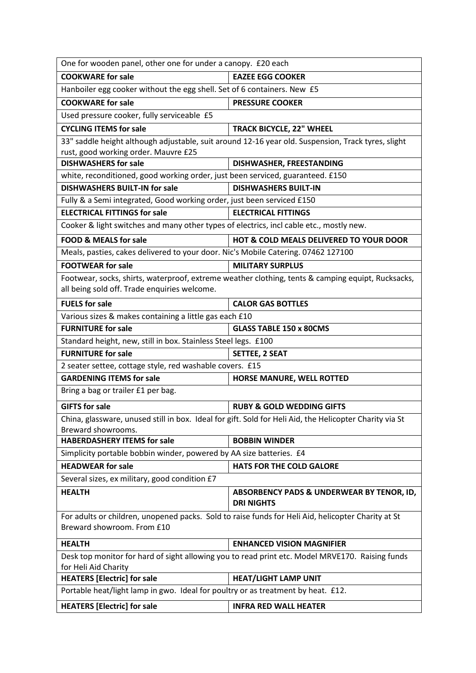| One for wooden panel, other one for under a canopy. £20 each                                                                                      |                                                                                                    |  |
|---------------------------------------------------------------------------------------------------------------------------------------------------|----------------------------------------------------------------------------------------------------|--|
| <b>COOKWARE for sale</b>                                                                                                                          | <b>EAZEE EGG COOKER</b>                                                                            |  |
| Hanboiler egg cooker without the egg shell. Set of 6 containers. New £5                                                                           |                                                                                                    |  |
| <b>COOKWARE for sale</b>                                                                                                                          | <b>PRESSURE COOKER</b>                                                                             |  |
| Used pressure cooker, fully serviceable £5                                                                                                        |                                                                                                    |  |
| <b>CYCLING ITEMS for sale</b>                                                                                                                     | <b>TRACK BICYCLE, 22" WHEEL</b>                                                                    |  |
|                                                                                                                                                   | 33" saddle height although adjustable, suit around 12-16 year old. Suspension, Track tyres, slight |  |
| rust, good working order. Mauvre £25                                                                                                              |                                                                                                    |  |
| <b>DISHWASHERS for sale</b>                                                                                                                       | DISHWASHER, FREESTANDING                                                                           |  |
| white, reconditioned, good working order, just been serviced, guaranteed. £150                                                                    |                                                                                                    |  |
| <b>DISHWASHERS BUILT-IN for sale</b>                                                                                                              | <b>DISHWASHERS BUILT-IN</b>                                                                        |  |
| Fully & a Semi integrated, Good working order, just been serviced £150                                                                            |                                                                                                    |  |
| <b>ELECTRICAL FITTINGS for sale</b>                                                                                                               | <b>ELECTRICAL FITTINGS</b>                                                                         |  |
| Cooker & light switches and many other types of electrics, incl cable etc., mostly new.                                                           |                                                                                                    |  |
| <b>FOOD &amp; MEALS for sale</b>                                                                                                                  | <b>HOT &amp; COLD MEALS DELIVERED TO YOUR DOOR</b>                                                 |  |
| Meals, pasties, cakes delivered to your door. Nic's Mobile Catering. 07462 127100                                                                 |                                                                                                    |  |
| <b>FOOTWEAR for sale</b>                                                                                                                          | <b>MILITARY SURPLUS</b>                                                                            |  |
| Footwear, socks, shirts, waterproof, extreme weather clothing, tents & camping equipt, Rucksacks,<br>all being sold off. Trade enquiries welcome. |                                                                                                    |  |
| <b>FUELS for sale</b>                                                                                                                             | <b>CALOR GAS BOTTLES</b>                                                                           |  |
| Various sizes & makes containing a little gas each £10                                                                                            |                                                                                                    |  |
| <b>FURNITURE for sale</b>                                                                                                                         | <b>GLASS TABLE 150 x 80CMS</b>                                                                     |  |
| Standard height, new, still in box. Stainless Steel legs. £100                                                                                    |                                                                                                    |  |
| <b>FURNITURE for sale</b>                                                                                                                         | <b>SETTEE, 2 SEAT</b>                                                                              |  |
| 2 seater settee, cottage style, red washable covers. £15                                                                                          |                                                                                                    |  |
| <b>GARDENING ITEMS for sale</b>                                                                                                                   | HORSE MANURE, WELL ROTTED                                                                          |  |
| Bring a bag or trailer £1 per bag.                                                                                                                |                                                                                                    |  |
| <b>GIFTS for sale</b>                                                                                                                             | <b>RUBY &amp; GOLD WEDDING GIFTS</b>                                                               |  |
| China, glassware, unused still in box. Ideal for gift. Sold for Heli Aid, the Helicopter Charity via St<br>Breward showrooms.                     |                                                                                                    |  |
| <b>HABERDASHERY ITEMS for sale</b>                                                                                                                | <b>BOBBIN WINDER</b>                                                                               |  |
| Simplicity portable bobbin winder, powered by AA size batteries. £4                                                                               |                                                                                                    |  |
| <b>HEADWEAR for sale</b>                                                                                                                          | <b>HATS FOR THE COLD GALORE</b>                                                                    |  |
| Several sizes, ex military, good condition £7                                                                                                     |                                                                                                    |  |
| <b>HEALTH</b>                                                                                                                                     | ABSORBENCY PADS & UNDERWEAR BY TENOR, ID,<br><b>DRI NIGHTS</b>                                     |  |
| For adults or children, unopened packs. Sold to raise funds for Heli Aid, helicopter Charity at St<br>Breward showroom. From £10                  |                                                                                                    |  |
| <b>HEALTH</b>                                                                                                                                     | <b>ENHANCED VISION MAGNIFIER</b>                                                                   |  |
| Desk top monitor for hard of sight allowing you to read print etc. Model MRVE170. Raising funds<br>for Heli Aid Charity                           |                                                                                                    |  |
| <b>HEATERS [Electric] for sale</b>                                                                                                                | <b>HEAT/LIGHT LAMP UNIT</b>                                                                        |  |
| Portable heat/light lamp in gwo. Ideal for poultry or as treatment by heat. £12.                                                                  |                                                                                                    |  |
| <b>HEATERS [Electric] for sale</b>                                                                                                                | <b>INFRA RED WALL HEATER</b>                                                                       |  |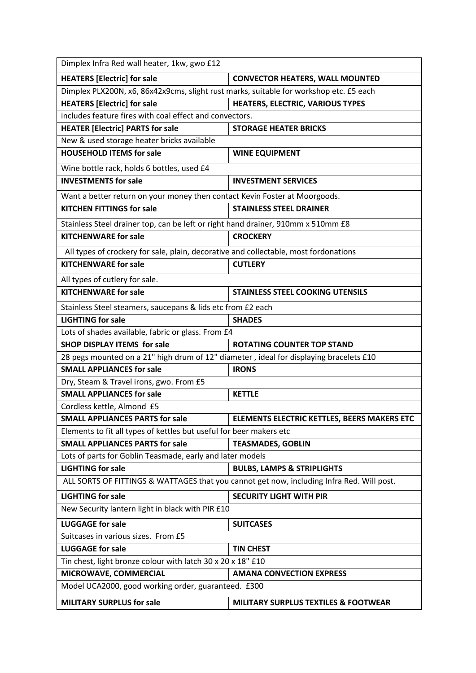| Dimplex Infra Red wall heater, 1kw, gwo £12                                            |                                                                                           |
|----------------------------------------------------------------------------------------|-------------------------------------------------------------------------------------------|
| <b>HEATERS [Electric] for sale</b>                                                     | <b>CONVECTOR HEATERS, WALL MOUNTED</b>                                                    |
| Dimplex PLX200N, x6, 86x42x9cms, slight rust marks, suitable for workshop etc. £5 each |                                                                                           |
| <b>HEATERS [Electric] for sale</b>                                                     | HEATERS, ELECTRIC, VARIOUS TYPES                                                          |
| includes feature fires with coal effect and convectors.                                |                                                                                           |
| <b>HEATER [Electric] PARTS for sale</b>                                                | <b>STORAGE HEATER BRICKS</b>                                                              |
| New & used storage heater bricks available                                             |                                                                                           |
| <b>HOUSEHOLD ITEMS for sale</b>                                                        | <b>WINE EQUIPMENT</b>                                                                     |
| Wine bottle rack, holds 6 bottles, used £4                                             |                                                                                           |
| <b>INVESTMENTS for sale</b>                                                            | <b>INVESTMENT SERVICES</b>                                                                |
| Want a better return on your money then contact Kevin Foster at Moorgoods.             |                                                                                           |
| <b>KITCHEN FITTINGS for sale</b>                                                       | <b>STAINLESS STEEL DRAINER</b>                                                            |
| Stainless Steel drainer top, can be left or right hand drainer, 910mm x 510mm £8       |                                                                                           |
| <b>KITCHENWARE for sale</b>                                                            | <b>CROCKERY</b>                                                                           |
| All types of crockery for sale, plain, decorative and collectable, most fordonations   |                                                                                           |
| <b>KITCHENWARE for sale</b>                                                            | <b>CUTLERY</b>                                                                            |
| All types of cutlery for sale.                                                         |                                                                                           |
| <b>KITCHENWARE for sale</b>                                                            | <b>STAINLESS STEEL COOKING UTENSILS</b>                                                   |
| Stainless Steel steamers, saucepans & lids etc from £2 each                            |                                                                                           |
| <b>LIGHTING for sale</b>                                                               | <b>SHADES</b>                                                                             |
| Lots of shades available, fabric or glass. From £4                                     |                                                                                           |
| <b>SHOP DISPLAY ITEMS for sale</b>                                                     | <b>ROTATING COUNTER TOP STAND</b>                                                         |
| 28 pegs mounted on a 21" high drum of 12" diameter, ideal for displaying bracelets £10 |                                                                                           |
| <b>SMALL APPLIANCES for sale</b>                                                       | <b>IRONS</b>                                                                              |
| Dry, Steam & Travel irons, gwo. From £5                                                |                                                                                           |
| <b>SMALL APPLIANCES for sale</b>                                                       | <b>KETTLE</b>                                                                             |
| Cordless kettle, Almond £5                                                             |                                                                                           |
| <b>SMALL APPLIANCES PARTS for sale</b>                                                 | <b>ELEMENTS ELECTRIC KETTLES, BEERS MAKERS ETC</b>                                        |
| Elements to fit all types of kettles but useful for beer makers etc                    |                                                                                           |
| <b>SMALL APPLIANCES PARTS for sale</b>                                                 | <b>TEASMADES, GOBLIN</b>                                                                  |
| Lots of parts for Goblin Teasmade, early and later models                              |                                                                                           |
| <b>LIGHTING for sale</b>                                                               | <b>BULBS, LAMPS &amp; STRIPLIGHTS</b>                                                     |
|                                                                                        | ALL SORTS OF FITTINGS & WATTAGES that you cannot get now, including Infra Red. Will post. |
| <b>LIGHTING for sale</b>                                                               | <b>SECURITY LIGHT WITH PIR</b>                                                            |
| New Security lantern light in black with PIR £10                                       |                                                                                           |
| <b>LUGGAGE for sale</b>                                                                | <b>SUITCASES</b>                                                                          |
| Suitcases in various sizes. From £5                                                    |                                                                                           |
| <b>LUGGAGE for sale</b>                                                                | <b>TIN CHEST</b>                                                                          |
| Tin chest, light bronze colour with latch 30 x 20 x 18" £10                            |                                                                                           |
| MICROWAVE, COMMERCIAL                                                                  | <b>AMANA CONVECTION EXPRESS</b>                                                           |
| Model UCA2000, good working order, guaranteed. £300                                    |                                                                                           |
| <b>MILITARY SURPLUS for sale</b>                                                       | <b>MILITARY SURPLUS TEXTILES &amp; FOOTWEAR</b>                                           |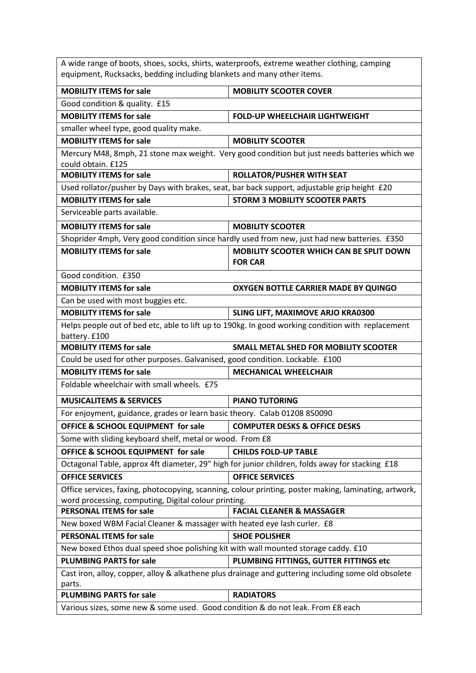| A wide range of boots, shoes, socks, shirts, waterproofs, extreme weather clothing, camping<br>equipment, Rucksacks, bedding including blankets and many other items. |                                                                                                       |  |
|-----------------------------------------------------------------------------------------------------------------------------------------------------------------------|-------------------------------------------------------------------------------------------------------|--|
| <b>MOBILITY ITEMS for sale</b>                                                                                                                                        | <b>MOBILITY SCOOTER COVER</b>                                                                         |  |
| Good condition & quality. £15                                                                                                                                         |                                                                                                       |  |
| <b>MOBILITY ITEMS for sale</b>                                                                                                                                        | <b>FOLD-UP WHEELCHAIR LIGHTWEIGHT</b>                                                                 |  |
| smaller wheel type, good quality make.                                                                                                                                |                                                                                                       |  |
| <b>MOBILITY ITEMS for sale</b>                                                                                                                                        | <b>MOBILITY SCOOTER</b>                                                                               |  |
| could obtain. £125                                                                                                                                                    | Mercury M48, 8mph, 21 stone max weight. Very good condition but just needs batteries which we         |  |
| <b>MOBILITY ITEMS for sale</b>                                                                                                                                        | <b>ROLLATOR/PUSHER WITH SEAT</b>                                                                      |  |
| Used rollator/pusher by Days with brakes, seat, bar back support, adjustable grip height £20                                                                          |                                                                                                       |  |
| <b>MOBILITY ITEMS for sale</b>                                                                                                                                        | <b>STORM 3 MOBILITY SCOOTER PARTS</b>                                                                 |  |
| Serviceable parts available.                                                                                                                                          |                                                                                                       |  |
| <b>MOBILITY ITEMS for sale</b>                                                                                                                                        | <b>MOBILITY SCOOTER</b>                                                                               |  |
|                                                                                                                                                                       | Shoprider 4mph, Very good condition since hardly used from new, just had new batteries. £350          |  |
| <b>MOBILITY ITEMS for sale</b>                                                                                                                                        | MOBILITY SCOOTER WHICH CAN BE SPLIT DOWN<br><b>FOR CAR</b>                                            |  |
| Good condition. £350                                                                                                                                                  |                                                                                                       |  |
| <b>MOBILITY ITEMS for sale</b>                                                                                                                                        | OXYGEN BOTTLE CARRIER MADE BY QUINGO                                                                  |  |
| Can be used with most buggies etc.                                                                                                                                    |                                                                                                       |  |
| <b>MOBILITY ITEMS for sale</b>                                                                                                                                        | SLING LIFT, MAXIMOVE ARJO KRA0300                                                                     |  |
| Helps people out of bed etc, able to lift up to 190kg. In good working condition with replacement<br>battery. £100                                                    |                                                                                                       |  |
| <b>MOBILITY ITEMS for sale</b>                                                                                                                                        | <b>SMALL METAL SHED FOR MOBILITY SCOOTER</b>                                                          |  |
| Could be used for other purposes. Galvanised, good condition. Lockable. £100                                                                                          |                                                                                                       |  |
| <b>MOBILITY ITEMS for sale</b>                                                                                                                                        | <b>MECHANICAL WHEELCHAIR</b>                                                                          |  |
| Foldable wheelchair with small wheels. £75                                                                                                                            |                                                                                                       |  |
| <b>MUSICALITEMS &amp; SERVICES</b>                                                                                                                                    | <b>PIANO TUTORING</b>                                                                                 |  |
| For enjoyment, guidance, grades or learn basic theory. Calab 01208 850090                                                                                             |                                                                                                       |  |
| OFFICE & SCHOOL EQUIPMENT for sale                                                                                                                                    | <b>COMPUTER DESKS &amp; OFFICE DESKS</b>                                                              |  |
| Some with sliding keyboard shelf, metal or wood. From £8                                                                                                              |                                                                                                       |  |
| OFFICE & SCHOOL EQUIPMENT for sale                                                                                                                                    | <b>CHILDS FOLD-UP TABLE</b>                                                                           |  |
|                                                                                                                                                                       | Octagonal Table, approx 4ft diameter, 29" high for junior children, folds away for stacking £18       |  |
| <b>OFFICE SERVICES</b>                                                                                                                                                | <b>OFFICE SERVICES</b>                                                                                |  |
|                                                                                                                                                                       | Office services, faxing, photocopying, scanning, colour printing, poster making, laminating, artwork, |  |
| word processing, computing, Digital colour printing.                                                                                                                  |                                                                                                       |  |
| <b>PERSONAL ITEMS for sale</b>                                                                                                                                        | <b>FACIAL CLEANER &amp; MASSAGER</b>                                                                  |  |
| New boxed WBM Facial Cleaner & massager with heated eye lash curler. £8                                                                                               |                                                                                                       |  |
| <b>PERSONAL ITEMS for sale</b>                                                                                                                                        | <b>SHOE POLISHER</b>                                                                                  |  |
| New boxed Ethos dual speed shoe polishing kit with wall mounted storage caddy. £10                                                                                    |                                                                                                       |  |
| <b>PLUMBING PARTS for sale</b>                                                                                                                                        | PLUMBING FITTINGS, GUTTER FITTINGS etc                                                                |  |
| Cast iron, alloy, copper, alloy & alkathene plus drainage and guttering including some old obsolete<br>parts.                                                         |                                                                                                       |  |
| <b>PLUMBING PARTS for sale</b>                                                                                                                                        | <b>RADIATORS</b>                                                                                      |  |
| Various sizes, some new & some used. Good condition & do not leak. From £8 each                                                                                       |                                                                                                       |  |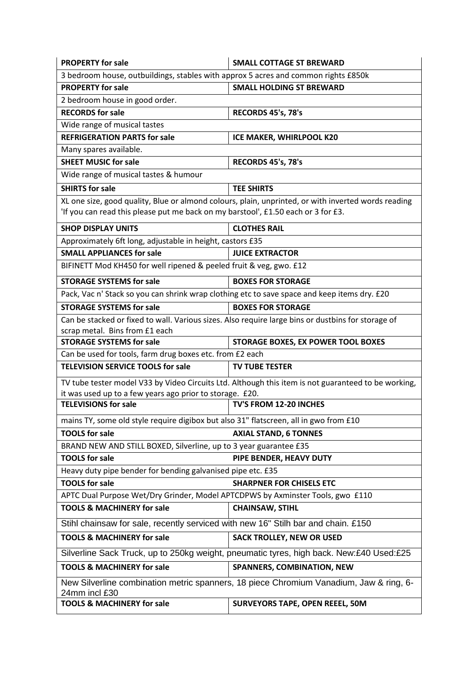| <b>PROPERTY for sale</b>                                                                                                                                                                 | <b>SMALL COTTAGE ST BREWARD</b>                                                                     |
|------------------------------------------------------------------------------------------------------------------------------------------------------------------------------------------|-----------------------------------------------------------------------------------------------------|
| 3 bedroom house, outbuildings, stables with approx 5 acres and common rights £850k                                                                                                       |                                                                                                     |
| <b>PROPERTY for sale</b>                                                                                                                                                                 | <b>SMALL HOLDING ST BREWARD</b>                                                                     |
| 2 bedroom house in good order.                                                                                                                                                           |                                                                                                     |
| <b>RECORDS for sale</b>                                                                                                                                                                  | RECORDS 45's, 78's                                                                                  |
| Wide range of musical tastes                                                                                                                                                             |                                                                                                     |
| <b>REFRIGERATION PARTS for sale</b>                                                                                                                                                      | ICE MAKER, WHIRLPOOL K20                                                                            |
| Many spares available.                                                                                                                                                                   |                                                                                                     |
| <b>SHEET MUSIC for sale</b>                                                                                                                                                              | RECORDS 45's, 78's                                                                                  |
| Wide range of musical tastes & humour                                                                                                                                                    |                                                                                                     |
| <b>SHIRTS for sale</b>                                                                                                                                                                   | <b>TEE SHIRTS</b>                                                                                   |
| XL one size, good quality, Blue or almond colours, plain, unprinted, or with inverted words reading<br>'If you can read this please put me back on my barstool', £1.50 each or 3 for £3. |                                                                                                     |
| <b>SHOP DISPLAY UNITS</b>                                                                                                                                                                | <b>CLOTHES RAIL</b>                                                                                 |
| Approximately 6ft long, adjustable in height, castors £35                                                                                                                                |                                                                                                     |
| <b>SMALL APPLIANCES for sale</b>                                                                                                                                                         | <b>JUICE EXTRACTOR</b>                                                                              |
| BIFINETT Mod KH450 for well ripened & peeled fruit & veg, gwo. £12                                                                                                                       |                                                                                                     |
| <b>STORAGE SYSTEMS for sale</b>                                                                                                                                                          | <b>BOXES FOR STORAGE</b>                                                                            |
| Pack, Vac n' Stack so you can shrink wrap clothing etc to save space and keep items dry. £20                                                                                             |                                                                                                     |
| <b>STORAGE SYSTEMS for sale</b>                                                                                                                                                          | <b>BOXES FOR STORAGE</b>                                                                            |
| Can be stacked or fixed to wall. Various sizes. Also require large bins or dustbins for storage of                                                                                       |                                                                                                     |
| scrap metal. Bins from £1 each                                                                                                                                                           |                                                                                                     |
|                                                                                                                                                                                          |                                                                                                     |
| <b>STORAGE SYSTEMS for sale</b>                                                                                                                                                          | STORAGE BOXES, EX POWER TOOL BOXES                                                                  |
| Can be used for tools, farm drug boxes etc. from £2 each                                                                                                                                 |                                                                                                     |
| <b>TELEVISION SERVICE TOOLS for sale</b>                                                                                                                                                 | <b>TV TUBE TESTER</b>                                                                               |
|                                                                                                                                                                                          | TV tube tester model V33 by Video Circuits Ltd. Although this item is not guaranteed to be working, |
| it was used up to a few years ago prior to storage. £20.                                                                                                                                 |                                                                                                     |
| <b>TELEVISIONS for sale</b>                                                                                                                                                              | TV'S FROM 12-20 INCHES                                                                              |
| mains TY, some old style require digibox but also 31" flatscreen, all in gwo from £10                                                                                                    |                                                                                                     |
| <b>TOOLS for sale</b>                                                                                                                                                                    | <b>AXIAL STAND, 6 TONNES</b>                                                                        |
| BRAND NEW AND STILL BOXED, Silverline, up to 3 year guarantee £35                                                                                                                        |                                                                                                     |
| <b>TOOLS for sale</b>                                                                                                                                                                    | PIPE BENDER, HEAVY DUTY                                                                             |
| Heavy duty pipe bender for bending galvanised pipe etc. £35                                                                                                                              |                                                                                                     |
| <b>TOOLS for sale</b>                                                                                                                                                                    | <b>SHARPNER FOR CHISELS ETC</b>                                                                     |
| APTC Dual Purpose Wet/Dry Grinder, Model APTCDPWS by Axminster Tools, gwo £110                                                                                                           |                                                                                                     |
| <b>TOOLS &amp; MACHINERY for sale</b>                                                                                                                                                    | <b>CHAINSAW, STIHL</b>                                                                              |
| Stihl chainsaw for sale, recently serviced with new 16" Stilh bar and chain. £150                                                                                                        |                                                                                                     |
| <b>TOOLS &amp; MACHINERY for sale</b>                                                                                                                                                    | <b>SACK TROLLEY, NEW OR USED</b>                                                                    |
|                                                                                                                                                                                          | Silverline Sack Truck, up to 250kg weight, pneumatic tyres, high back. New:£40 Used:£25             |
| <b>TOOLS &amp; MACHINERY for sale</b>                                                                                                                                                    | SPANNERS, COMBINATION, NEW                                                                          |
| 24mm incl £30                                                                                                                                                                            | New Silverline combination metric spanners, 18 piece Chromium Vanadium, Jaw & ring, 6-              |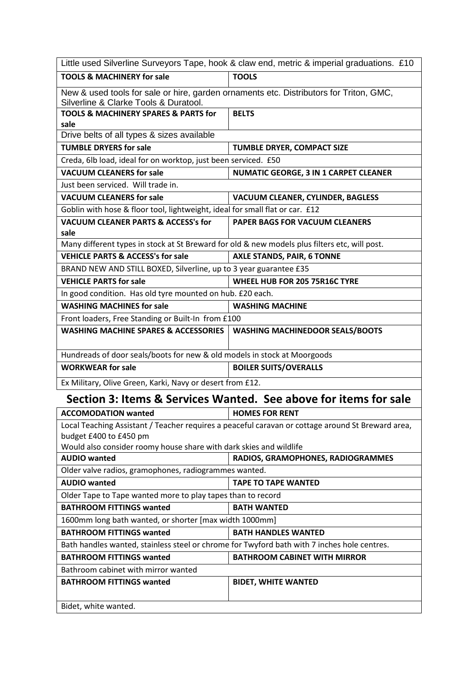| Little used Silverline Surveyors Tape, hook & claw end, metric & imperial graduations. £10        |                                                                  |  |
|---------------------------------------------------------------------------------------------------|------------------------------------------------------------------|--|
| <b>TOOLS &amp; MACHINERY for sale</b>                                                             | <b>TOOLS</b>                                                     |  |
| New & used tools for sale or hire, garden ornaments etc. Distributors for Triton, GMC,            |                                                                  |  |
| Silverline & Clarke Tools & Duratool.                                                             |                                                                  |  |
| <b>TOOLS &amp; MACHINERY SPARES &amp; PARTS for</b>                                               | <b>BELTS</b>                                                     |  |
| sale<br>Drive belts of all types & sizes available                                                |                                                                  |  |
| <b>TUMBLE DRYERS for sale</b>                                                                     | TUMBLE DRYER, COMPACT SIZE                                       |  |
| Creda, 6lb load, ideal for on worktop, just been serviced. £50                                    |                                                                  |  |
| <b>VACUUM CLEANERS for sale</b>                                                                   | <b>NUMATIC GEORGE, 3 IN 1 CARPET CLEANER</b>                     |  |
| Just been serviced. Will trade in.                                                                |                                                                  |  |
| <b>VACUUM CLEANERS for sale</b>                                                                   | VACUUM CLEANER, CYLINDER, BAGLESS                                |  |
| Goblin with hose & floor tool, lightweight, ideal for small flat or car. £12                      |                                                                  |  |
| <b>VACUUM CLEANER PARTS &amp; ACCESS's for</b>                                                    | <b>PAPER BAGS FOR VACUUM CLEANERS</b>                            |  |
| sale                                                                                              |                                                                  |  |
| Many different types in stock at St Breward for old & new models plus filters etc, will post.     |                                                                  |  |
| <b>VEHICLE PARTS &amp; ACCESS's for sale</b>                                                      | <b>AXLE STANDS, PAIR, 6 TONNE</b>                                |  |
| BRAND NEW AND STILL BOXED, Silverline, up to 3 year guarantee £35                                 |                                                                  |  |
| <b>VEHICLE PARTS for sale</b>                                                                     | WHEEL HUB FOR 205 75R16C TYRE                                    |  |
| In good condition. Has old tyre mounted on hub. £20 each.                                         |                                                                  |  |
| <b>WASHING MACHINES for sale</b>                                                                  | <b>WASHING MACHINE</b>                                           |  |
| Front loaders, Free Standing or Built-In from £100                                                |                                                                  |  |
| <b>WASHING MACHINE SPARES &amp; ACCESSORIES</b>                                                   | <b>WASHING MACHINEDOOR SEALS/BOOTS</b>                           |  |
| Hundreads of door seals/boots for new & old models in stock at Moorgoods                          |                                                                  |  |
| <b>WORKWEAR for sale</b>                                                                          | <b>BOILER SUITS/OVERALLS</b>                                     |  |
| Ex Military, Olive Green, Karki, Navy or desert from £12.                                         |                                                                  |  |
|                                                                                                   | Section 3: Items & Services Wanted. See above for items for sale |  |
| <b>ACCOMODATION wanted</b>                                                                        | <b>HOMES FOR RENT</b>                                            |  |
| Local Teaching Assistant / Teacher requires a peaceful caravan or cottage around St Breward area, |                                                                  |  |
| budget £400 to £450 pm                                                                            |                                                                  |  |
| Would also consider roomy house share with dark skies and wildlife                                |                                                                  |  |
| <b>AUDIO wanted</b>                                                                               | RADIOS, GRAMOPHONES, RADIOGRAMMES                                |  |
| Older valve radios, gramophones, radiogrammes wanted.                                             |                                                                  |  |
| <b>AUDIO wanted</b>                                                                               | <b>TAPE TO TAPE WANTED</b>                                       |  |
| Older Tape to Tape wanted more to play tapes than to record                                       |                                                                  |  |
| <b>BATHROOM FITTINGS wanted</b>                                                                   | <b>BATH WANTED</b>                                               |  |
| 1600mm long bath wanted, or shorter [max width 1000mm]                                            |                                                                  |  |
| <b>BATHROOM FITTINGS wanted</b>                                                                   | <b>BATH HANDLES WANTED</b>                                       |  |
| Bath handles wanted, stainless steel or chrome for Twyford bath with 7 inches hole centres.       |                                                                  |  |
| <b>BATHROOM FITTINGS wanted</b>                                                                   | <b>BATHROOM CABINET WITH MIRROR</b>                              |  |
| Bathroom cabinet with mirror wanted                                                               |                                                                  |  |
| <b>BATHROOM FITTINGS wanted</b>                                                                   | <b>BIDET, WHITE WANTED</b>                                       |  |
| Bidet, white wanted.                                                                              |                                                                  |  |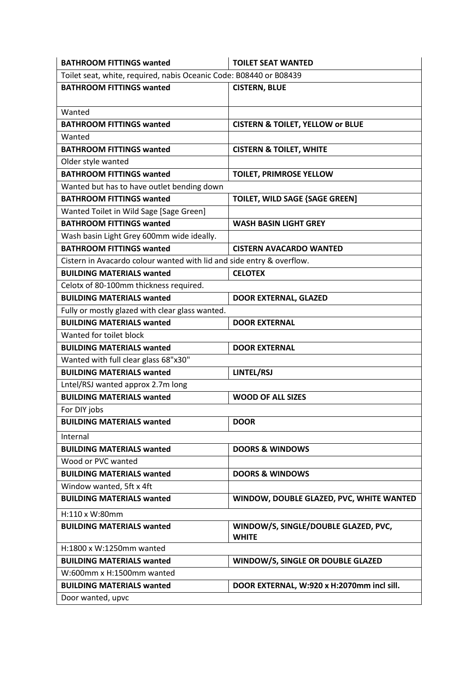| <b>BATHROOM FITTINGS wanted</b>                                       | <b>TOILET SEAT WANTED</b>                            |
|-----------------------------------------------------------------------|------------------------------------------------------|
| Toilet seat, white, required, nabis Oceanic Code: B08440 or B08439    |                                                      |
| <b>BATHROOM FITTINGS wanted</b>                                       | <b>CISTERN, BLUE</b>                                 |
|                                                                       |                                                      |
| Wanted                                                                |                                                      |
| <b>BATHROOM FITTINGS wanted</b>                                       | <b>CISTERN &amp; TOILET, YELLOW or BLUE</b>          |
| Wanted                                                                |                                                      |
| <b>BATHROOM FITTINGS wanted</b>                                       | <b>CISTERN &amp; TOILET, WHITE</b>                   |
| Older style wanted                                                    |                                                      |
| <b>BATHROOM FITTINGS wanted</b>                                       | <b>TOILET, PRIMROSE YELLOW</b>                       |
| Wanted but has to have outlet bending down                            |                                                      |
| <b>BATHROOM FITTINGS wanted</b>                                       | <b>TOILET, WILD SAGE {SAGE GREEN]</b>                |
| Wanted Toilet in Wild Sage [Sage Green]                               |                                                      |
| <b>BATHROOM FITTINGS wanted</b>                                       | <b>WASH BASIN LIGHT GREY</b>                         |
| Wash basin Light Grey 600mm wide ideally.                             |                                                      |
| <b>BATHROOM FITTINGS wanted</b>                                       | <b>CISTERN AVACARDO WANTED</b>                       |
| Cistern in Avacardo colour wanted with lid and side entry & overflow. |                                                      |
| <b>BUILDING MATERIALS wanted</b>                                      | <b>CELOTEX</b>                                       |
| Celotx of 80-100mm thickness required.                                |                                                      |
| <b>BUILDING MATERIALS wanted</b>                                      | <b>DOOR EXTERNAL, GLAZED</b>                         |
| Fully or mostly glazed with clear glass wanted.                       |                                                      |
| <b>BUILDING MATERIALS wanted</b>                                      | <b>DOOR EXTERNAL</b>                                 |
| Wanted for toilet block                                               |                                                      |
| <b>BUILDING MATERIALS wanted</b>                                      | <b>DOOR EXTERNAL</b>                                 |
| Wanted with full clear glass 68"x30"                                  |                                                      |
| <b>BUILDING MATERIALS wanted</b>                                      | LINTEL/RSJ                                           |
| Lntel/RSJ wanted approx 2.7m long                                     |                                                      |
| <b>BUILDING MATERIALS wanted</b>                                      | <b>WOOD OF ALL SIZES</b>                             |
| For DIY jobs                                                          |                                                      |
| <b>BUILDING MATERIALS wanted</b>                                      | <b>DOOR</b>                                          |
| Internal                                                              |                                                      |
| <b>BUILDING MATERIALS wanted</b>                                      | <b>DOORS &amp; WINDOWS</b>                           |
| Wood or PVC wanted                                                    |                                                      |
| <b>BUILDING MATERIALS wanted</b>                                      | <b>DOORS &amp; WINDOWS</b>                           |
| Window wanted, 5ft x 4ft                                              |                                                      |
| <b>BUILDING MATERIALS wanted</b>                                      | WINDOW, DOUBLE GLAZED, PVC, WHITE WANTED             |
| H:110 x W:80mm                                                        |                                                      |
| <b>BUILDING MATERIALS wanted</b>                                      | WINDOW/S, SINGLE/DOUBLE GLAZED, PVC,<br><b>WHITE</b> |
| $H:1800 \times W:1250$ mm wanted                                      |                                                      |
| <b>BUILDING MATERIALS wanted</b>                                      | WINDOW/S, SINGLE OR DOUBLE GLAZED                    |
| $W:600$ mm x H:1500mm wanted                                          |                                                      |
| <b>BUILDING MATERIALS wanted</b>                                      | DOOR EXTERNAL, W:920 x H:2070mm incl sill.           |
| Door wanted, upvc                                                     |                                                      |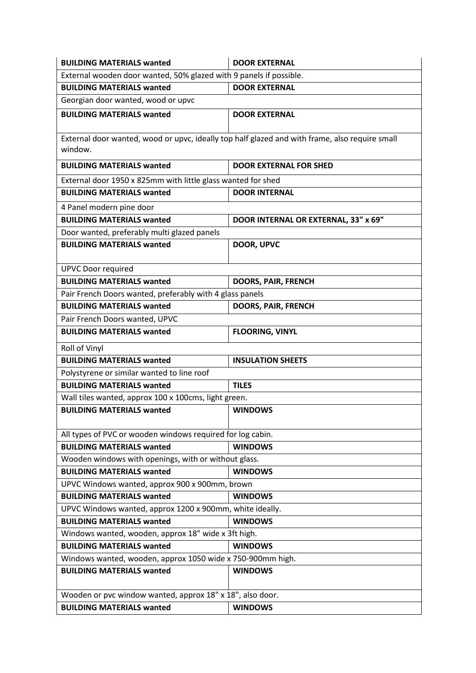| <b>BUILDING MATERIALS wanted</b>                                                                          | <b>DOOR EXTERNAL</b>                 |
|-----------------------------------------------------------------------------------------------------------|--------------------------------------|
| External wooden door wanted, 50% glazed with 9 panels if possible.                                        |                                      |
| <b>BUILDING MATERIALS wanted</b>                                                                          | <b>DOOR EXTERNAL</b>                 |
| Georgian door wanted, wood or upvc                                                                        |                                      |
| <b>BUILDING MATERIALS wanted</b>                                                                          | <b>DOOR EXTERNAL</b>                 |
| External door wanted, wood or upvc, ideally top half glazed and with frame, also require small<br>window. |                                      |
| <b>BUILDING MATERIALS wanted</b>                                                                          | <b>DOOR EXTERNAL FOR SHED</b>        |
| External door 1950 x 825mm with little glass wanted for shed                                              |                                      |
| <b>BUILDING MATERIALS wanted</b>                                                                          | <b>DOOR INTERNAL</b>                 |
| 4 Panel modern pine door                                                                                  |                                      |
| <b>BUILDING MATERIALS wanted</b>                                                                          | DOOR INTERNAL OR EXTERNAL, 33" x 69" |
| Door wanted, preferably multi glazed panels                                                               |                                      |
| <b>BUILDING MATERIALS wanted</b>                                                                          | DOOR, UPVC                           |
|                                                                                                           |                                      |
| <b>UPVC Door required</b>                                                                                 |                                      |
| <b>BUILDING MATERIALS wanted</b>                                                                          | DOORS, PAIR, FRENCH                  |
| Pair French Doors wanted, preferably with 4 glass panels                                                  |                                      |
| <b>BUILDING MATERIALS wanted</b>                                                                          | DOORS, PAIR, FRENCH                  |
| Pair French Doors wanted, UPVC                                                                            |                                      |
| <b>BUILDING MATERIALS wanted</b>                                                                          | <b>FLOORING, VINYL</b>               |
| Roll of Vinyl                                                                                             |                                      |
| <b>BUILDING MATERIALS wanted</b>                                                                          | <b>INSULATION SHEETS</b>             |
| Polystyrene or similar wanted to line roof                                                                |                                      |
| <b>BUILDING MATERIALS wanted</b>                                                                          | <b>TILES</b>                         |
| Wall tiles wanted, approx 100 x 100cms, light green.                                                      |                                      |
| <b>BUILDING MATERIALS wanted</b>                                                                          | <b>WINDOWS</b>                       |
| All types of PVC or wooden windows required for log cabin.                                                |                                      |
| <b>BUILDING MATERIALS wanted</b>                                                                          | <b>WINDOWS</b>                       |
| Wooden windows with openings, with or without glass.                                                      |                                      |
| <b>BUILDING MATERIALS wanted</b>                                                                          | <b>WINDOWS</b>                       |
| UPVC Windows wanted, approx 900 x 900mm, brown                                                            |                                      |
| <b>BUILDING MATERIALS wanted</b>                                                                          | <b>WINDOWS</b>                       |
| UPVC Windows wanted, approx 1200 x 900mm, white ideally.                                                  |                                      |
| <b>BUILDING MATERIALS wanted</b>                                                                          | <b>WINDOWS</b>                       |
| Windows wanted, wooden, approx 18" wide x 3ft high.                                                       |                                      |
| <b>BUILDING MATERIALS wanted</b>                                                                          | <b>WINDOWS</b>                       |
| Windows wanted, wooden, approx 1050 wide x 750-900mm high.                                                |                                      |
| <b>BUILDING MATERIALS wanted</b>                                                                          | <b>WINDOWS</b>                       |
| Wooden or pvc window wanted, approx 18" x 18", also door.                                                 |                                      |
| <b>BUILDING MATERIALS wanted</b>                                                                          | <b>WINDOWS</b>                       |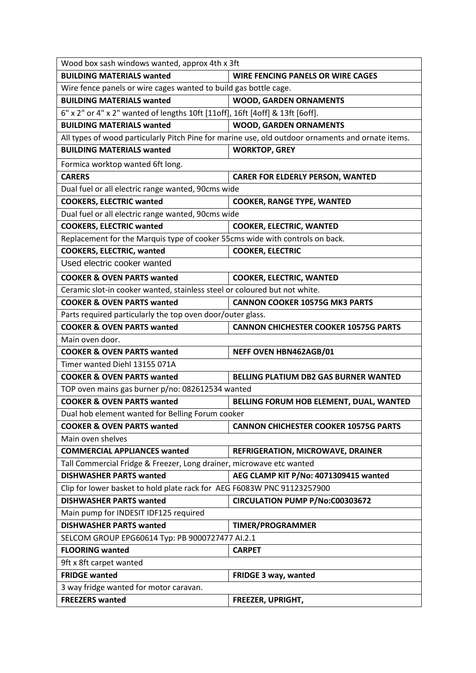| Wood box sash windows wanted, approx 4th x 3ft                                |                                                                                                   |  |
|-------------------------------------------------------------------------------|---------------------------------------------------------------------------------------------------|--|
| <b>BUILDING MATERIALS wanted</b>                                              | <b>WIRE FENCING PANELS OR WIRE CAGES</b>                                                          |  |
| Wire fence panels or wire cages wanted to build gas bottle cage.              |                                                                                                   |  |
| <b>BUILDING MATERIALS wanted</b>                                              | <b>WOOD, GARDEN ORNAMENTS</b>                                                                     |  |
| 6" x 2" or 4" x 2" wanted of lengths 10ft [11off], 16ft [4off] & 13ft [6off]. |                                                                                                   |  |
| <b>BUILDING MATERIALS wanted</b>                                              | <b>WOOD, GARDEN ORNAMENTS</b>                                                                     |  |
|                                                                               | All types of wood particularly Pitch Pine for marine use, old outdoor ornaments and ornate items. |  |
| <b>BUILDING MATERIALS wanted</b>                                              | <b>WORKTOP, GREY</b>                                                                              |  |
| Formica worktop wanted 6ft long.                                              |                                                                                                   |  |
| <b>CARERS</b>                                                                 | <b>CARER FOR ELDERLY PERSON, WANTED</b>                                                           |  |
| Dual fuel or all electric range wanted, 90cms wide                            |                                                                                                   |  |
| <b>COOKERS, ELECTRIC wanted</b>                                               | <b>COOKER, RANGE TYPE, WANTED</b>                                                                 |  |
| Dual fuel or all electric range wanted, 90cms wide                            |                                                                                                   |  |
| <b>COOKERS, ELECTRIC wanted</b>                                               | <b>COOKER, ELECTRIC, WANTED</b>                                                                   |  |
| Replacement for the Marquis type of cooker 55cms wide with controls on back.  |                                                                                                   |  |
| <b>COOKERS, ELECTRIC, wanted</b>                                              | <b>COOKER, ELECTRIC</b>                                                                           |  |
| Used electric cooker wanted                                                   |                                                                                                   |  |
| <b>COOKER &amp; OVEN PARTS wanted</b>                                         | <b>COOKER, ELECTRIC, WANTED</b>                                                                   |  |
| Ceramic slot-in cooker wanted, stainless steel or coloured but not white.     |                                                                                                   |  |
| <b>COOKER &amp; OVEN PARTS wanted</b>                                         | <b>CANNON COOKER 10575G MK3 PARTS</b>                                                             |  |
| Parts required particularly the top oven door/outer glass.                    |                                                                                                   |  |
| <b>COOKER &amp; OVEN PARTS wanted</b>                                         | <b>CANNON CHICHESTER COOKER 10575G PARTS</b>                                                      |  |
| Main oven door.                                                               |                                                                                                   |  |
| <b>COOKER &amp; OVEN PARTS wanted</b>                                         | NEFF OVEN HBN462AGB/01                                                                            |  |
| Timer wanted Diehl 13155 071A                                                 |                                                                                                   |  |
| <b>COOKER &amp; OVEN PARTS wanted</b>                                         | BELLING PLATIUM DB2 GAS BURNER WANTED                                                             |  |
| TOP oven mains gas burner p/no: 082612534 wanted                              |                                                                                                   |  |
| <b>COOKER &amp; OVEN PARTS wanted</b>                                         | BELLING FORUM HOB ELEMENT, DUAL, WANTED                                                           |  |
| Dual hob element wanted for Belling Forum cooker                              |                                                                                                   |  |
| <b>COOKER &amp; OVEN PARTS wanted</b>                                         | <b>CANNON CHICHESTER COOKER 10575G PARTS</b>                                                      |  |
| Main oven shelves                                                             |                                                                                                   |  |
| <b>COMMERCIAL APPLIANCES wanted</b>                                           | <b>REFRIGERATION, MICROWAVE, DRAINER</b>                                                          |  |
| Tall Commercial Fridge & Freezer, Long drainer, microwave etc wanted          |                                                                                                   |  |
| <b>DISHWASHER PARTS wanted</b>                                                | AEG CLAMP KIT P/No: 4071309415 wanted                                                             |  |
| Clip for lower basket to hold plate rack for AEG F6083W PNC 91123257900       |                                                                                                   |  |
| <b>DISHWASHER PARTS wanted</b>                                                | <b>CIRCULATION PUMP P/No:C00303672</b>                                                            |  |
| Main pump for INDESIT IDF125 required                                         |                                                                                                   |  |
| <b>DISHWASHER PARTS wanted</b>                                                | <b>TIMER/PROGRAMMER</b>                                                                           |  |
| SELCOM GROUP EPG60614 Typ: PB 9000727477 AI.2.1                               |                                                                                                   |  |
| <b>FLOORING wanted</b>                                                        | <b>CARPET</b>                                                                                     |  |
| 9ft x 8ft carpet wanted                                                       |                                                                                                   |  |
| <b>FRIDGE wanted</b>                                                          | FRIDGE 3 way, wanted                                                                              |  |
| 3 way fridge wanted for motor caravan.                                        |                                                                                                   |  |
| <b>FREEZERS</b> wanted                                                        | FREEZER, UPRIGHT,                                                                                 |  |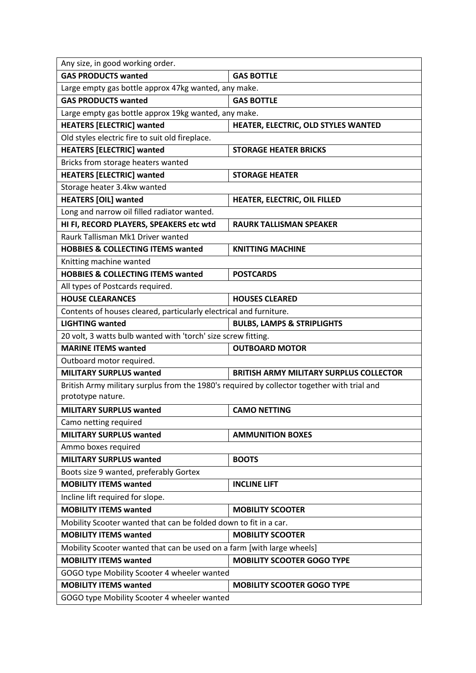| <b>GAS PRODUCTS wanted</b><br><b>GAS BOTTLE</b><br>Large empty gas bottle approx 47kg wanted, any make.<br><b>GAS PRODUCTS wanted</b><br><b>GAS BOTTLE</b><br>Large empty gas bottle approx 19kg wanted, any make.<br><b>HEATERS [ELECTRIC] wanted</b><br>HEATER, ELECTRIC, OLD STYLES WANTED<br>Old styles electric fire to suit old fireplace.<br><b>HEATERS [ELECTRIC] wanted</b><br><b>STORAGE HEATER BRICKS</b><br>Bricks from storage heaters wanted<br><b>HEATERS [ELECTRIC] wanted</b><br><b>STORAGE HEATER</b><br>Storage heater 3.4kw wanted<br><b>HEATERS [OIL] wanted</b><br>HEATER, ELECTRIC, OIL FILLED<br>Long and narrow oil filled radiator wanted.<br>HI FI, RECORD PLAYERS, SPEAKERS etc wtd<br><b>RAURK TALLISMAN SPEAKER</b><br>Raurk Tallisman Mk1 Driver wanted<br><b>HOBBIES &amp; COLLECTING ITEMS wanted</b><br><b>KNITTING MACHINE</b><br>Knitting machine wanted<br><b>HOBBIES &amp; COLLECTING ITEMS wanted</b><br><b>POSTCARDS</b><br>All types of Postcards required.<br><b>HOUSE CLEARANCES</b><br><b>HOUSES CLEARED</b><br>Contents of houses cleared, particularly electrical and furniture.<br><b>LIGHTING wanted</b><br><b>BULBS, LAMPS &amp; STRIPLIGHTS</b><br>20 volt, 3 watts bulb wanted with 'torch' size screw fitting.<br><b>MARINE ITEMS wanted</b><br><b>OUTBOARD MOTOR</b><br>Outboard motor required.<br><b>MILITARY SURPLUS wanted</b><br><b>BRITISH ARMY MILITARY SURPLUS COLLECTOR</b><br>British Army military surplus from the 1980's required by collector together with trial and<br>prototype nature.<br><b>MILITARY SURPLUS wanted</b><br><b>CAMO NETTING</b><br>Camo netting required<br><b>MILITARY SURPLUS wanted</b><br><b>AMMUNITION BOXES</b> |  |  |
|--------------------------------------------------------------------------------------------------------------------------------------------------------------------------------------------------------------------------------------------------------------------------------------------------------------------------------------------------------------------------------------------------------------------------------------------------------------------------------------------------------------------------------------------------------------------------------------------------------------------------------------------------------------------------------------------------------------------------------------------------------------------------------------------------------------------------------------------------------------------------------------------------------------------------------------------------------------------------------------------------------------------------------------------------------------------------------------------------------------------------------------------------------------------------------------------------------------------------------------------------------------------------------------------------------------------------------------------------------------------------------------------------------------------------------------------------------------------------------------------------------------------------------------------------------------------------------------------------------------------------------------------------------------------------------------------------------------|--|--|
|                                                                                                                                                                                                                                                                                                                                                                                                                                                                                                                                                                                                                                                                                                                                                                                                                                                                                                                                                                                                                                                                                                                                                                                                                                                                                                                                                                                                                                                                                                                                                                                                                                                                                                              |  |  |
|                                                                                                                                                                                                                                                                                                                                                                                                                                                                                                                                                                                                                                                                                                                                                                                                                                                                                                                                                                                                                                                                                                                                                                                                                                                                                                                                                                                                                                                                                                                                                                                                                                                                                                              |  |  |
|                                                                                                                                                                                                                                                                                                                                                                                                                                                                                                                                                                                                                                                                                                                                                                                                                                                                                                                                                                                                                                                                                                                                                                                                                                                                                                                                                                                                                                                                                                                                                                                                                                                                                                              |  |  |
|                                                                                                                                                                                                                                                                                                                                                                                                                                                                                                                                                                                                                                                                                                                                                                                                                                                                                                                                                                                                                                                                                                                                                                                                                                                                                                                                                                                                                                                                                                                                                                                                                                                                                                              |  |  |
|                                                                                                                                                                                                                                                                                                                                                                                                                                                                                                                                                                                                                                                                                                                                                                                                                                                                                                                                                                                                                                                                                                                                                                                                                                                                                                                                                                                                                                                                                                                                                                                                                                                                                                              |  |  |
|                                                                                                                                                                                                                                                                                                                                                                                                                                                                                                                                                                                                                                                                                                                                                                                                                                                                                                                                                                                                                                                                                                                                                                                                                                                                                                                                                                                                                                                                                                                                                                                                                                                                                                              |  |  |
|                                                                                                                                                                                                                                                                                                                                                                                                                                                                                                                                                                                                                                                                                                                                                                                                                                                                                                                                                                                                                                                                                                                                                                                                                                                                                                                                                                                                                                                                                                                                                                                                                                                                                                              |  |  |
|                                                                                                                                                                                                                                                                                                                                                                                                                                                                                                                                                                                                                                                                                                                                                                                                                                                                                                                                                                                                                                                                                                                                                                                                                                                                                                                                                                                                                                                                                                                                                                                                                                                                                                              |  |  |
|                                                                                                                                                                                                                                                                                                                                                                                                                                                                                                                                                                                                                                                                                                                                                                                                                                                                                                                                                                                                                                                                                                                                                                                                                                                                                                                                                                                                                                                                                                                                                                                                                                                                                                              |  |  |
|                                                                                                                                                                                                                                                                                                                                                                                                                                                                                                                                                                                                                                                                                                                                                                                                                                                                                                                                                                                                                                                                                                                                                                                                                                                                                                                                                                                                                                                                                                                                                                                                                                                                                                              |  |  |
|                                                                                                                                                                                                                                                                                                                                                                                                                                                                                                                                                                                                                                                                                                                                                                                                                                                                                                                                                                                                                                                                                                                                                                                                                                                                                                                                                                                                                                                                                                                                                                                                                                                                                                              |  |  |
|                                                                                                                                                                                                                                                                                                                                                                                                                                                                                                                                                                                                                                                                                                                                                                                                                                                                                                                                                                                                                                                                                                                                                                                                                                                                                                                                                                                                                                                                                                                                                                                                                                                                                                              |  |  |
|                                                                                                                                                                                                                                                                                                                                                                                                                                                                                                                                                                                                                                                                                                                                                                                                                                                                                                                                                                                                                                                                                                                                                                                                                                                                                                                                                                                                                                                                                                                                                                                                                                                                                                              |  |  |
|                                                                                                                                                                                                                                                                                                                                                                                                                                                                                                                                                                                                                                                                                                                                                                                                                                                                                                                                                                                                                                                                                                                                                                                                                                                                                                                                                                                                                                                                                                                                                                                                                                                                                                              |  |  |
|                                                                                                                                                                                                                                                                                                                                                                                                                                                                                                                                                                                                                                                                                                                                                                                                                                                                                                                                                                                                                                                                                                                                                                                                                                                                                                                                                                                                                                                                                                                                                                                                                                                                                                              |  |  |
|                                                                                                                                                                                                                                                                                                                                                                                                                                                                                                                                                                                                                                                                                                                                                                                                                                                                                                                                                                                                                                                                                                                                                                                                                                                                                                                                                                                                                                                                                                                                                                                                                                                                                                              |  |  |
|                                                                                                                                                                                                                                                                                                                                                                                                                                                                                                                                                                                                                                                                                                                                                                                                                                                                                                                                                                                                                                                                                                                                                                                                                                                                                                                                                                                                                                                                                                                                                                                                                                                                                                              |  |  |
|                                                                                                                                                                                                                                                                                                                                                                                                                                                                                                                                                                                                                                                                                                                                                                                                                                                                                                                                                                                                                                                                                                                                                                                                                                                                                                                                                                                                                                                                                                                                                                                                                                                                                                              |  |  |
|                                                                                                                                                                                                                                                                                                                                                                                                                                                                                                                                                                                                                                                                                                                                                                                                                                                                                                                                                                                                                                                                                                                                                                                                                                                                                                                                                                                                                                                                                                                                                                                                                                                                                                              |  |  |
|                                                                                                                                                                                                                                                                                                                                                                                                                                                                                                                                                                                                                                                                                                                                                                                                                                                                                                                                                                                                                                                                                                                                                                                                                                                                                                                                                                                                                                                                                                                                                                                                                                                                                                              |  |  |
|                                                                                                                                                                                                                                                                                                                                                                                                                                                                                                                                                                                                                                                                                                                                                                                                                                                                                                                                                                                                                                                                                                                                                                                                                                                                                                                                                                                                                                                                                                                                                                                                                                                                                                              |  |  |
|                                                                                                                                                                                                                                                                                                                                                                                                                                                                                                                                                                                                                                                                                                                                                                                                                                                                                                                                                                                                                                                                                                                                                                                                                                                                                                                                                                                                                                                                                                                                                                                                                                                                                                              |  |  |
|                                                                                                                                                                                                                                                                                                                                                                                                                                                                                                                                                                                                                                                                                                                                                                                                                                                                                                                                                                                                                                                                                                                                                                                                                                                                                                                                                                                                                                                                                                                                                                                                                                                                                                              |  |  |
|                                                                                                                                                                                                                                                                                                                                                                                                                                                                                                                                                                                                                                                                                                                                                                                                                                                                                                                                                                                                                                                                                                                                                                                                                                                                                                                                                                                                                                                                                                                                                                                                                                                                                                              |  |  |
|                                                                                                                                                                                                                                                                                                                                                                                                                                                                                                                                                                                                                                                                                                                                                                                                                                                                                                                                                                                                                                                                                                                                                                                                                                                                                                                                                                                                                                                                                                                                                                                                                                                                                                              |  |  |
|                                                                                                                                                                                                                                                                                                                                                                                                                                                                                                                                                                                                                                                                                                                                                                                                                                                                                                                                                                                                                                                                                                                                                                                                                                                                                                                                                                                                                                                                                                                                                                                                                                                                                                              |  |  |
|                                                                                                                                                                                                                                                                                                                                                                                                                                                                                                                                                                                                                                                                                                                                                                                                                                                                                                                                                                                                                                                                                                                                                                                                                                                                                                                                                                                                                                                                                                                                                                                                                                                                                                              |  |  |
|                                                                                                                                                                                                                                                                                                                                                                                                                                                                                                                                                                                                                                                                                                                                                                                                                                                                                                                                                                                                                                                                                                                                                                                                                                                                                                                                                                                                                                                                                                                                                                                                                                                                                                              |  |  |
|                                                                                                                                                                                                                                                                                                                                                                                                                                                                                                                                                                                                                                                                                                                                                                                                                                                                                                                                                                                                                                                                                                                                                                                                                                                                                                                                                                                                                                                                                                                                                                                                                                                                                                              |  |  |
|                                                                                                                                                                                                                                                                                                                                                                                                                                                                                                                                                                                                                                                                                                                                                                                                                                                                                                                                                                                                                                                                                                                                                                                                                                                                                                                                                                                                                                                                                                                                                                                                                                                                                                              |  |  |
| Ammo boxes required                                                                                                                                                                                                                                                                                                                                                                                                                                                                                                                                                                                                                                                                                                                                                                                                                                                                                                                                                                                                                                                                                                                                                                                                                                                                                                                                                                                                                                                                                                                                                                                                                                                                                          |  |  |
| <b>MILITARY SURPLUS wanted</b><br><b>BOOTS</b>                                                                                                                                                                                                                                                                                                                                                                                                                                                                                                                                                                                                                                                                                                                                                                                                                                                                                                                                                                                                                                                                                                                                                                                                                                                                                                                                                                                                                                                                                                                                                                                                                                                               |  |  |
| Boots size 9 wanted, preferably Gortex                                                                                                                                                                                                                                                                                                                                                                                                                                                                                                                                                                                                                                                                                                                                                                                                                                                                                                                                                                                                                                                                                                                                                                                                                                                                                                                                                                                                                                                                                                                                                                                                                                                                       |  |  |
| <b>MOBILITY ITEMS wanted</b><br><b>INCLINE LIFT</b>                                                                                                                                                                                                                                                                                                                                                                                                                                                                                                                                                                                                                                                                                                                                                                                                                                                                                                                                                                                                                                                                                                                                                                                                                                                                                                                                                                                                                                                                                                                                                                                                                                                          |  |  |
| Incline lift required for slope.                                                                                                                                                                                                                                                                                                                                                                                                                                                                                                                                                                                                                                                                                                                                                                                                                                                                                                                                                                                                                                                                                                                                                                                                                                                                                                                                                                                                                                                                                                                                                                                                                                                                             |  |  |
| <b>MOBILITY ITEMS wanted</b><br><b>MOBILITY SCOOTER</b>                                                                                                                                                                                                                                                                                                                                                                                                                                                                                                                                                                                                                                                                                                                                                                                                                                                                                                                                                                                                                                                                                                                                                                                                                                                                                                                                                                                                                                                                                                                                                                                                                                                      |  |  |
| Mobility Scooter wanted that can be folded down to fit in a car.                                                                                                                                                                                                                                                                                                                                                                                                                                                                                                                                                                                                                                                                                                                                                                                                                                                                                                                                                                                                                                                                                                                                                                                                                                                                                                                                                                                                                                                                                                                                                                                                                                             |  |  |
| <b>MOBILITY ITEMS wanted</b><br><b>MOBILITY SCOOTER</b>                                                                                                                                                                                                                                                                                                                                                                                                                                                                                                                                                                                                                                                                                                                                                                                                                                                                                                                                                                                                                                                                                                                                                                                                                                                                                                                                                                                                                                                                                                                                                                                                                                                      |  |  |
| Mobility Scooter wanted that can be used on a farm [with large wheels]                                                                                                                                                                                                                                                                                                                                                                                                                                                                                                                                                                                                                                                                                                                                                                                                                                                                                                                                                                                                                                                                                                                                                                                                                                                                                                                                                                                                                                                                                                                                                                                                                                       |  |  |
| <b>MOBILITY SCOOTER GOGO TYPE</b><br><b>MOBILITY ITEMS wanted</b>                                                                                                                                                                                                                                                                                                                                                                                                                                                                                                                                                                                                                                                                                                                                                                                                                                                                                                                                                                                                                                                                                                                                                                                                                                                                                                                                                                                                                                                                                                                                                                                                                                            |  |  |
| GOGO type Mobility Scooter 4 wheeler wanted                                                                                                                                                                                                                                                                                                                                                                                                                                                                                                                                                                                                                                                                                                                                                                                                                                                                                                                                                                                                                                                                                                                                                                                                                                                                                                                                                                                                                                                                                                                                                                                                                                                                  |  |  |
| <b>MOBILITY ITEMS wanted</b><br><b>MOBILITY SCOOTER GOGO TYPE</b>                                                                                                                                                                                                                                                                                                                                                                                                                                                                                                                                                                                                                                                                                                                                                                                                                                                                                                                                                                                                                                                                                                                                                                                                                                                                                                                                                                                                                                                                                                                                                                                                                                            |  |  |
| GOGO type Mobility Scooter 4 wheeler wanted                                                                                                                                                                                                                                                                                                                                                                                                                                                                                                                                                                                                                                                                                                                                                                                                                                                                                                                                                                                                                                                                                                                                                                                                                                                                                                                                                                                                                                                                                                                                                                                                                                                                  |  |  |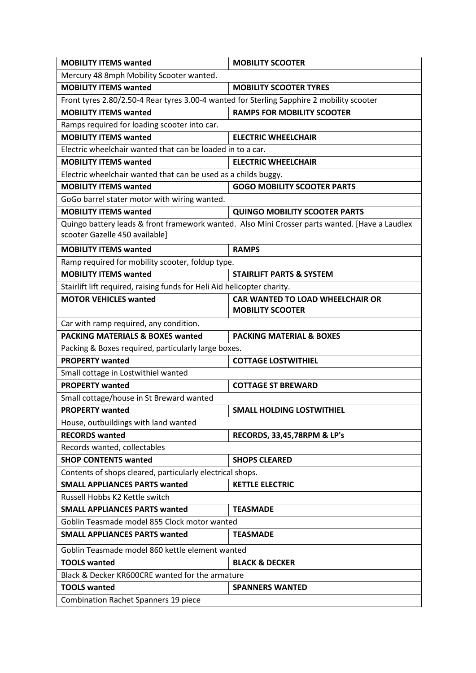| <b>MOBILITY ITEMS wanted</b>                                                                                                     | <b>MOBILITY SCOOTER</b>                                            |  |
|----------------------------------------------------------------------------------------------------------------------------------|--------------------------------------------------------------------|--|
| Mercury 48 8mph Mobility Scooter wanted.                                                                                         |                                                                    |  |
| <b>MOBILITY ITEMS wanted</b>                                                                                                     | <b>MOBILITY SCOOTER TYRES</b>                                      |  |
| Front tyres 2.80/2.50-4 Rear tyres 3.00-4 wanted for Sterling Sapphire 2 mobility scooter                                        |                                                                    |  |
| <b>MOBILITY ITEMS wanted</b>                                                                                                     | <b>RAMPS FOR MOBILITY SCOOTER</b>                                  |  |
| Ramps required for loading scooter into car.                                                                                     |                                                                    |  |
| <b>MOBILITY ITEMS wanted</b>                                                                                                     | <b>ELECTRIC WHEELCHAIR</b>                                         |  |
| Electric wheelchair wanted that can be loaded in to a car.                                                                       |                                                                    |  |
| <b>MOBILITY ITEMS wanted</b>                                                                                                     | <b>ELECTRIC WHEELCHAIR</b>                                         |  |
| Electric wheelchair wanted that can be used as a childs buggy.                                                                   |                                                                    |  |
| <b>MOBILITY ITEMS wanted</b>                                                                                                     | <b>GOGO MOBILITY SCOOTER PARTS</b>                                 |  |
| GoGo barrel stater motor with wiring wanted.                                                                                     |                                                                    |  |
| <b>MOBILITY ITEMS wanted</b>                                                                                                     | <b>QUINGO MOBILITY SCOOTER PARTS</b>                               |  |
| Quingo battery leads & front framework wanted. Also Mini Crosser parts wanted. [Have a Laudlex<br>scooter Gazelle 450 available] |                                                                    |  |
| <b>MOBILITY ITEMS wanted</b>                                                                                                     | <b>RAMPS</b>                                                       |  |
| Ramp required for mobility scooter, foldup type.                                                                                 |                                                                    |  |
| <b>MOBILITY ITEMS wanted</b>                                                                                                     | <b>STAIRLIFT PARTS &amp; SYSTEM</b>                                |  |
| Stairlift lift required, raising funds for Heli Aid helicopter charity.                                                          |                                                                    |  |
| <b>MOTOR VEHICLES wanted</b>                                                                                                     | <b>CAR WANTED TO LOAD WHEELCHAIR OR</b><br><b>MOBILITY SCOOTER</b> |  |
| Car with ramp required, any condition.                                                                                           |                                                                    |  |
| <b>PACKING MATERIALS &amp; BOXES wanted</b>                                                                                      | <b>PACKING MATERIAL &amp; BOXES</b>                                |  |
| Packing & Boxes required, particularly large boxes.                                                                              |                                                                    |  |
| <b>PROPERTY wanted</b>                                                                                                           | <b>COTTAGE LOSTWITHIEL</b>                                         |  |
| Small cottage in Lostwithiel wanted                                                                                              |                                                                    |  |
| <b>PROPERTY wanted</b>                                                                                                           | <b>COTTAGE ST BREWARD</b>                                          |  |
| Small cottage/house in St Breward wanted                                                                                         |                                                                    |  |
| <b>PROPERTY wanted</b>                                                                                                           | <b>SMALL HOLDING LOSTWITHIEL</b>                                   |  |
| House, outbuildings with land wanted                                                                                             |                                                                    |  |
| <b>RECORDS</b> wanted                                                                                                            | RECORDS, 33,45,78RPM & LP's                                        |  |
| Records wanted, collectables                                                                                                     |                                                                    |  |
| <b>SHOP CONTENTS wanted</b>                                                                                                      | <b>SHOPS CLEARED</b>                                               |  |
| Contents of shops cleared, particularly electrical shops.                                                                        |                                                                    |  |
| <b>SMALL APPLIANCES PARTS wanted</b>                                                                                             | <b>KETTLE ELECTRIC</b>                                             |  |
| Russell Hobbs K2 Kettle switch                                                                                                   |                                                                    |  |
| <b>SMALL APPLIANCES PARTS wanted</b>                                                                                             | <b>TEASMADE</b>                                                    |  |
| Goblin Teasmade model 855 Clock motor wanted                                                                                     |                                                                    |  |
| <b>SMALL APPLIANCES PARTS wanted</b>                                                                                             | <b>TEASMADE</b>                                                    |  |
| Goblin Teasmade model 860 kettle element wanted                                                                                  |                                                                    |  |
| <b>TOOLS wanted</b>                                                                                                              | <b>BLACK &amp; DECKER</b>                                          |  |
| Black & Decker KR600CRE wanted for the armature                                                                                  |                                                                    |  |
| <b>TOOLS wanted</b>                                                                                                              | <b>SPANNERS WANTED</b>                                             |  |
| <b>Combination Rachet Spanners 19 piece</b>                                                                                      |                                                                    |  |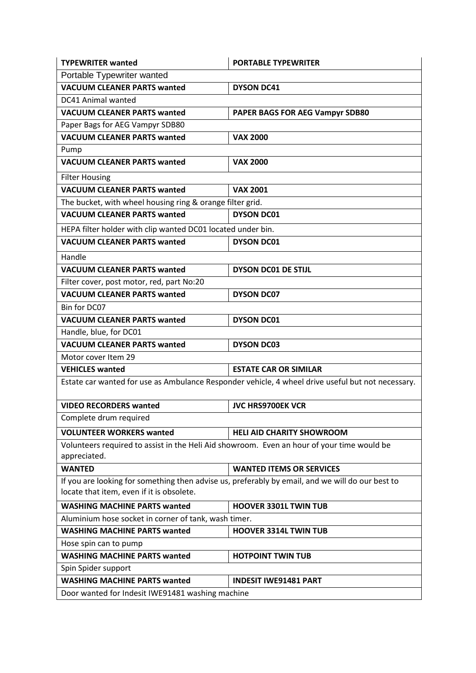| <b>TYPEWRITER wanted</b>                                                                                                                      | <b>PORTABLE TYPEWRITER</b>       |  |
|-----------------------------------------------------------------------------------------------------------------------------------------------|----------------------------------|--|
| Portable Typewriter wanted                                                                                                                    |                                  |  |
| <b>VACUUM CLEANER PARTS wanted</b>                                                                                                            | <b>DYSON DC41</b>                |  |
| DC41 Animal wanted                                                                                                                            |                                  |  |
| <b>VACUUM CLEANER PARTS wanted</b>                                                                                                            | PAPER BAGS FOR AEG Vampyr SDB80  |  |
| Paper Bags for AEG Vampyr SDB80                                                                                                               |                                  |  |
| <b>VACUUM CLEANER PARTS wanted</b>                                                                                                            | <b>VAX 2000</b>                  |  |
| Pump                                                                                                                                          |                                  |  |
| <b>VACUUM CLEANER PARTS wanted</b>                                                                                                            | <b>VAX 2000</b>                  |  |
| <b>Filter Housing</b>                                                                                                                         |                                  |  |
| <b>VACUUM CLEANER PARTS wanted</b>                                                                                                            | <b>VAX 2001</b>                  |  |
| The bucket, with wheel housing ring & orange filter grid.                                                                                     |                                  |  |
| <b>VACUUM CLEANER PARTS wanted</b>                                                                                                            | <b>DYSON DC01</b>                |  |
| HEPA filter holder with clip wanted DC01 located under bin.                                                                                   |                                  |  |
| <b>VACUUM CLEANER PARTS wanted</b>                                                                                                            | <b>DYSON DC01</b>                |  |
| Handle                                                                                                                                        |                                  |  |
| <b>VACUUM CLEANER PARTS wanted</b>                                                                                                            | <b>DYSON DC01 DE STIJL</b>       |  |
| Filter cover, post motor, red, part No:20                                                                                                     |                                  |  |
| <b>VACUUM CLEANER PARTS wanted</b>                                                                                                            | <b>DYSON DC07</b>                |  |
| Bin for DC07                                                                                                                                  |                                  |  |
| <b>VACUUM CLEANER PARTS wanted</b>                                                                                                            | <b>DYSON DC01</b>                |  |
| Handle, blue, for DC01                                                                                                                        |                                  |  |
| <b>VACUUM CLEANER PARTS wanted</b>                                                                                                            | <b>DYSON DC03</b>                |  |
| Motor cover Item 29                                                                                                                           |                                  |  |
| <b>VEHICLES</b> wanted                                                                                                                        | <b>ESTATE CAR OR SIMILAR</b>     |  |
| Estate car wanted for use as Ambulance Responder vehicle, 4 wheel drive useful but not necessary.                                             |                                  |  |
| <b>VIDEO RECORDERS wanted</b>                                                                                                                 | <b>JVC HRS9700EK VCR</b>         |  |
| Complete drum required                                                                                                                        |                                  |  |
| <b>VOLUNTEER WORKERS wanted</b>                                                                                                               | <b>HELI AID CHARITY SHOWROOM</b> |  |
| Volunteers required to assist in the Heli Aid showroom. Even an hour of your time would be<br>appreciated.                                    |                                  |  |
| <b>WANTED</b>                                                                                                                                 | <b>WANTED ITEMS OR SERVICES</b>  |  |
| If you are looking for something then advise us, preferably by email, and we will do our best to<br>locate that item, even if it is obsolete. |                                  |  |
| <b>WASHING MACHINE PARTS wanted</b>                                                                                                           | <b>HOOVER 3301L TWIN TUB</b>     |  |
| Aluminium hose socket in corner of tank, wash timer.                                                                                          |                                  |  |
| <b>WASHING MACHINE PARTS wanted</b>                                                                                                           | <b>HOOVER 3314L TWIN TUB</b>     |  |
| Hose spin can to pump                                                                                                                         |                                  |  |
| <b>WASHING MACHINE PARTS wanted</b>                                                                                                           | <b>HOTPOINT TWIN TUB</b>         |  |
| Spin Spider support                                                                                                                           |                                  |  |
| <b>WASHING MACHINE PARTS wanted</b>                                                                                                           | <b>INDESIT IWE91481 PART</b>     |  |
| Door wanted for Indesit IWE91481 washing machine                                                                                              |                                  |  |